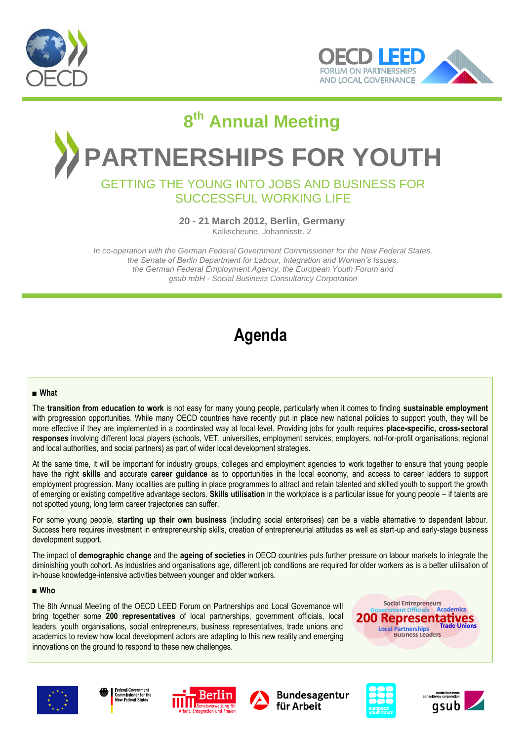



# **8 th Annual Meeting PARTNERSHIPS FOR YOUTH**

### GETTING THE YOUNG INTO JOBS AND BUSINESS FOR SUCCESSFUL WORKING LIFE

**20 - 21 March 2012, Berlin, Germany**

Kalkscheune, Johannisstr. 2

*In co-operation with the German Federal Government Commissioner for the New Federal States, the Senate of Berlin Department for Labour, Integration and Women's Issues, the German Federal Employment Agency, the European Youth Forum and gsub mbH - Social Business Consultancy Corporation*

# **Agenda**

#### **■ What**

The **transition from education to work** is not easy for many young people, particularly when it comes to finding **sustainable employment** with progression opportunities. While many OECD countries have recently put in place new national policies to support youth, they will be more effective if they are implemented in a coordinated way at local level. Providing jobs for youth requires **place-specific, cross-sectoral responses** involving different local players (schools, VET, universities, employment services, employers, not-for-profit organisations, regional and local authorities, and social partners) as part of wider local development strategies.

At the same time, it will be important for industry groups, colleges and employment agencies to work together to ensure that young people have the right **skills** and accurate **career guidance** as to opportunities in the local economy, and access to career ladders to support employment progression. Many localities are putting in place programmes to attract and retain talented and skilled youth to support the growth of emerging or existing competitive advantage sectors. **Skills utilisation** in the workplace is a particular issue for young people – if talents are not spotted young, long term career trajectories can suffer.

For some young people, **starting up their own business** (including social enterprises) can be a viable alternative to dependent labour. Success here requires investment in entrepreneurship skills, creation of entrepreneurial attitudes as well as start-up and early-stage business development support.

The impact of **demographic change** and the **ageing of societies** in OECD countries puts further pressure on labour markets to integrate the diminishing youth cohort. As industries and organisations age, different job conditions are required for older workers as is a better utilisation of in-house knowledge-intensive activities between younger and older workers.

#### **■ Who**

The 8th Annual Meeting of the OECD LEED Forum on Partnerships and Local Governance will bring together some **200 representatives** of local partnerships, government officials, local leaders, youth organisations, social entrepreneurs, business representatives, trade unions and academics to review how local development actors are adapting to this new reality and emerging innovations on the ground to respond to these new challenges.

**Social Entrepren** 200











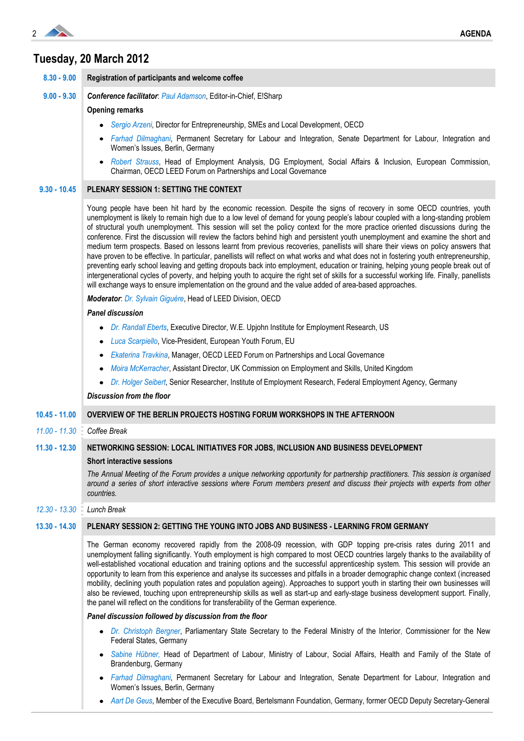

## **Tuesday, 20 March 2012**

|                 | Registration of participants and welcome coffee                                                                                                                                                                                                                                                                                                                                                                                                                                                                                                                                                                                                                                                                                                                                                                                                                                                                                                                                                                                                                                                                                                                                                                        |  |  |  |  |  |
|-----------------|------------------------------------------------------------------------------------------------------------------------------------------------------------------------------------------------------------------------------------------------------------------------------------------------------------------------------------------------------------------------------------------------------------------------------------------------------------------------------------------------------------------------------------------------------------------------------------------------------------------------------------------------------------------------------------------------------------------------------------------------------------------------------------------------------------------------------------------------------------------------------------------------------------------------------------------------------------------------------------------------------------------------------------------------------------------------------------------------------------------------------------------------------------------------------------------------------------------------|--|--|--|--|--|
| $9.00 - 9.30$   | <b>Conference facilitator: Paul Adamson, Editor-in-Chief, E!Sharp</b><br><b>Opening remarks</b>                                                                                                                                                                                                                                                                                                                                                                                                                                                                                                                                                                                                                                                                                                                                                                                                                                                                                                                                                                                                                                                                                                                        |  |  |  |  |  |
|                 |                                                                                                                                                                                                                                                                                                                                                                                                                                                                                                                                                                                                                                                                                                                                                                                                                                                                                                                                                                                                                                                                                                                                                                                                                        |  |  |  |  |  |
|                 | • Sergio Arzeni, Director for Entrepreneurship, SMEs and Local Development, OECD                                                                                                                                                                                                                                                                                                                                                                                                                                                                                                                                                                                                                                                                                                                                                                                                                                                                                                                                                                                                                                                                                                                                       |  |  |  |  |  |
|                 | Farhad Dilmaghani, Permanent Secretary for Labour and Integration, Senate Department for Labour, Integration and<br>Women's Issues, Berlin, Germany                                                                                                                                                                                                                                                                                                                                                                                                                                                                                                                                                                                                                                                                                                                                                                                                                                                                                                                                                                                                                                                                    |  |  |  |  |  |
|                 | Robert Strauss, Head of Employment Analysis, DG Employment, Social Affairs & Inclusion, European Commission,<br>٠<br>Chairman, OECD LEED Forum on Partnerships and Local Governance                                                                                                                                                                                                                                                                                                                                                                                                                                                                                                                                                                                                                                                                                                                                                                                                                                                                                                                                                                                                                                    |  |  |  |  |  |
| $9.30 - 10.45$  | PLENARY SESSION 1: SETTING THE CONTEXT                                                                                                                                                                                                                                                                                                                                                                                                                                                                                                                                                                                                                                                                                                                                                                                                                                                                                                                                                                                                                                                                                                                                                                                 |  |  |  |  |  |
|                 | Young people have been hit hard by the economic recession. Despite the signs of recovery in some OECD countries, youth<br>unemployment is likely to remain high due to a low level of demand for young people's labour coupled with a long-standing problem<br>of structural youth unemployment. This session will set the policy context for the more practice oriented discussions during the<br>conference. First the discussion will review the factors behind high and persistent youth unemployment and examine the short and<br>medium term prospects. Based on lessons learnt from previous recoveries, panellists will share their views on policy answers that<br>have proven to be effective. In particular, panellists will reflect on what works and what does not in fostering youth entrepreneurship,<br>preventing early school leaving and getting dropouts back into employment, education or training, helping young people break out of<br>intergenerational cycles of poverty, and helping youth to acquire the right set of skills for a successful working life. Finally, panellists<br>will exchange ways to ensure implementation on the ground and the value added of area-based approaches. |  |  |  |  |  |
|                 | Moderator: Dr. Sylvain Giguère, Head of LEED Division, OECD                                                                                                                                                                                                                                                                                                                                                                                                                                                                                                                                                                                                                                                                                                                                                                                                                                                                                                                                                                                                                                                                                                                                                            |  |  |  |  |  |
|                 | <b>Panel discussion</b>                                                                                                                                                                                                                                                                                                                                                                                                                                                                                                                                                                                                                                                                                                                                                                                                                                                                                                                                                                                                                                                                                                                                                                                                |  |  |  |  |  |
|                 | Dr. Randall Eberts, Executive Director, W.E. Upjohn Institute for Employment Research, US<br>٠                                                                                                                                                                                                                                                                                                                                                                                                                                                                                                                                                                                                                                                                                                                                                                                                                                                                                                                                                                                                                                                                                                                         |  |  |  |  |  |
|                 | Luca Scarpiello, Vice-President, European Youth Forum, EU<br>٠                                                                                                                                                                                                                                                                                                                                                                                                                                                                                                                                                                                                                                                                                                                                                                                                                                                                                                                                                                                                                                                                                                                                                         |  |  |  |  |  |
|                 | Ekaterina Travkina, Manager, OECD LEED Forum on Partnerships and Local Governance<br>٠                                                                                                                                                                                                                                                                                                                                                                                                                                                                                                                                                                                                                                                                                                                                                                                                                                                                                                                                                                                                                                                                                                                                 |  |  |  |  |  |
|                 | Moira McKerracher, Assistant Director, UK Commission on Employment and Skills, United Kingdom<br>٠                                                                                                                                                                                                                                                                                                                                                                                                                                                                                                                                                                                                                                                                                                                                                                                                                                                                                                                                                                                                                                                                                                                     |  |  |  |  |  |
|                 | Dr. Holger Seibert, Senior Researcher, Institute of Employment Research, Federal Employment Agency, Germany<br>$\bullet$                                                                                                                                                                                                                                                                                                                                                                                                                                                                                                                                                                                                                                                                                                                                                                                                                                                                                                                                                                                                                                                                                               |  |  |  |  |  |
|                 | Discussion from the floor                                                                                                                                                                                                                                                                                                                                                                                                                                                                                                                                                                                                                                                                                                                                                                                                                                                                                                                                                                                                                                                                                                                                                                                              |  |  |  |  |  |
| $10.45 - 11.00$ | OVERVIEW OF THE BERLIN PROJECTS HOSTING FORUM WORKSHOPS IN THE AFTERNOON                                                                                                                                                                                                                                                                                                                                                                                                                                                                                                                                                                                                                                                                                                                                                                                                                                                                                                                                                                                                                                                                                                                                               |  |  |  |  |  |
| $11.00 - 11.30$ | Coffee Break                                                                                                                                                                                                                                                                                                                                                                                                                                                                                                                                                                                                                                                                                                                                                                                                                                                                                                                                                                                                                                                                                                                                                                                                           |  |  |  |  |  |
| $11.30 - 12.30$ |                                                                                                                                                                                                                                                                                                                                                                                                                                                                                                                                                                                                                                                                                                                                                                                                                                                                                                                                                                                                                                                                                                                                                                                                                        |  |  |  |  |  |
|                 | NETWORKING SESSION: LOCAL INITIATIVES FOR JOBS, INCLUSION AND BUSINESS DEVELOPMENT                                                                                                                                                                                                                                                                                                                                                                                                                                                                                                                                                                                                                                                                                                                                                                                                                                                                                                                                                                                                                                                                                                                                     |  |  |  |  |  |
|                 | <b>Short interactive sessions</b>                                                                                                                                                                                                                                                                                                                                                                                                                                                                                                                                                                                                                                                                                                                                                                                                                                                                                                                                                                                                                                                                                                                                                                                      |  |  |  |  |  |
|                 | The Annual Meeting of the Forum provides a unique networking opportunity for partnership practitioners. This session is organised<br>around a series of short interactive sessions where Forum members present and discuss their projects with experts from other<br>countries.                                                                                                                                                                                                                                                                                                                                                                                                                                                                                                                                                                                                                                                                                                                                                                                                                                                                                                                                        |  |  |  |  |  |
| $12.30 - 13.30$ | Lunch Break                                                                                                                                                                                                                                                                                                                                                                                                                                                                                                                                                                                                                                                                                                                                                                                                                                                                                                                                                                                                                                                                                                                                                                                                            |  |  |  |  |  |
| $13.30 - 14.30$ | PLENARY SESSION 2: GETTING THE YOUNG INTO JOBS AND BUSINESS - LEARNING FROM GERMANY                                                                                                                                                                                                                                                                                                                                                                                                                                                                                                                                                                                                                                                                                                                                                                                                                                                                                                                                                                                                                                                                                                                                    |  |  |  |  |  |
|                 | The German economy recovered rapidly from the 2008-09 recession, with GDP topping pre-crisis rates during 2011 and<br>unemployment falling significantly. Youth employment is high compared to most OECD countries largely thanks to the availability of<br>well-established vocational education and training options and the successful apprenticeship system. This session will provide an<br>opportunity to learn from this experience and analyse its successes and pitfalls in a broader demographic change context (increased<br>mobility, declining youth population rates and population ageing). Approaches to support youth in starting their own businesses will<br>also be reviewed, touching upon entrepreneurship skills as well as start-up and early-stage business development support. Finally,<br>the panel will reflect on the conditions for transferability of the German experience.                                                                                                                                                                                                                                                                                                           |  |  |  |  |  |
|                 | Panel discussion followed by discussion from the floor                                                                                                                                                                                                                                                                                                                                                                                                                                                                                                                                                                                                                                                                                                                                                                                                                                                                                                                                                                                                                                                                                                                                                                 |  |  |  |  |  |
|                 | Dr. Christoph Bergner, Parliamentary State Secretary to the Federal Ministry of the Interior, Commissioner for the New<br>$\bullet$<br>Federal States, Germany                                                                                                                                                                                                                                                                                                                                                                                                                                                                                                                                                                                                                                                                                                                                                                                                                                                                                                                                                                                                                                                         |  |  |  |  |  |
|                 | Sabine Hübner, Head of Department of Labour, Ministry of Labour, Social Affairs, Health and Family of the State of<br>٠<br>Brandenburg, Germany                                                                                                                                                                                                                                                                                                                                                                                                                                                                                                                                                                                                                                                                                                                                                                                                                                                                                                                                                                                                                                                                        |  |  |  |  |  |
|                 | Farhad Dilmaghani, Permanent Secretary for Labour and Integration, Senate Department for Labour, Integration and<br>$\bullet$<br>Women's Issues, Berlin, Germany                                                                                                                                                                                                                                                                                                                                                                                                                                                                                                                                                                                                                                                                                                                                                                                                                                                                                                                                                                                                                                                       |  |  |  |  |  |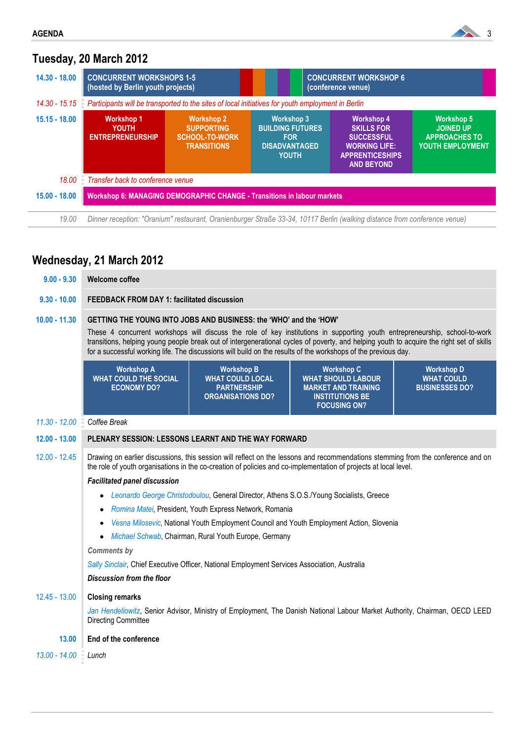

# **Tuesday, 20 March 2012**

| $14.30 - 18.00$ | <b>CONCURRENT WORKSHOPS 1-5</b><br>(hosted by Berlin youth projects)                                                      |                                                                                       |                                                                                                    | <b>CONCURRENT WORKSHOP 6</b><br>(conference venue)                                                                                 |                                                                                   |  |  |  |
|-----------------|---------------------------------------------------------------------------------------------------------------------------|---------------------------------------------------------------------------------------|----------------------------------------------------------------------------------------------------|------------------------------------------------------------------------------------------------------------------------------------|-----------------------------------------------------------------------------------|--|--|--|
| $14.30 - 15.15$ | Participants will be transported to the sites of local initiatives for youth employment in Berlin                         |                                                                                       |                                                                                                    |                                                                                                                                    |                                                                                   |  |  |  |
| $15.15 - 18.00$ | <b>Workshop 1</b><br>YOUTH<br><b>ENTREPRENEURSHIP</b>                                                                     | <b>Workshop 2</b><br><b>SUPPORTING</b><br><b>SCHOOL-TO-WORK</b><br><b>TRANSITIONS</b> | <b>Workshop 3</b><br><b>BUILDING FUTURES</b><br><b>FOR</b><br><b>DISADVANTAGED</b><br><b>YOUTH</b> | <b>Workshop 4</b><br><b>SKILLS FOR</b><br><b>SUCCESSFUL</b><br><b>WORKING LIFE:</b><br><b>APPRENTICESHIPS</b><br><b>AND BEYOND</b> | <b>Workshop 5</b><br><b>JOINED UP</b><br><b>APPROACHES TO</b><br>YOUTH EMPLOYMENT |  |  |  |
| 18.00           | Transfer back to conference venue                                                                                         |                                                                                       |                                                                                                    |                                                                                                                                    |                                                                                   |  |  |  |
| $15.00 - 18.00$ | <b>Workshop 6: MANAGING DEMOGRAPHIC CHANGE - Transitions in labour markets</b>                                            |                                                                                       |                                                                                                    |                                                                                                                                    |                                                                                   |  |  |  |
| 19.00           | Dinner reception: "Oranium" restaurant, Oranienburger Straße 33-34, 10117 Berlin (walking distance from conference venue) |                                                                                       |                                                                                                    |                                                                                                                                    |                                                                                   |  |  |  |

# **Wednesday, 21 March 2012**

| $9.00 - 9.30$   | <b>Welcome coffee</b>                                                                                                                                                                                                                                                                                                                                                                                                                                          |                                                                                                |                                                                                                                               |                                                                 |  |  |  |  |
|-----------------|----------------------------------------------------------------------------------------------------------------------------------------------------------------------------------------------------------------------------------------------------------------------------------------------------------------------------------------------------------------------------------------------------------------------------------------------------------------|------------------------------------------------------------------------------------------------|-------------------------------------------------------------------------------------------------------------------------------|-----------------------------------------------------------------|--|--|--|--|
| $9.30 - 10.00$  | FEEDBACK FROM DAY 1: facilitated discussion                                                                                                                                                                                                                                                                                                                                                                                                                    |                                                                                                |                                                                                                                               |                                                                 |  |  |  |  |
| $10.00 - 11.30$ | GETTING THE YOUNG INTO JOBS AND BUSINESS: the 'WHO' and the 'HOW'<br>These 4 concurrent workshops will discuss the role of key institutions in supporting youth entrepreneurship, school-to-work<br>transitions, helping young people break out of intergenerational cycles of poverty, and helping youth to acquire the right set of skills<br>for a successful working life. The discussions will build on the results of the workshops of the previous day. |                                                                                                |                                                                                                                               |                                                                 |  |  |  |  |
|                 | <b>Workshop A</b><br><b>WHAT COULD THE SOCIAL</b><br><b>ECONOMY DO?</b>                                                                                                                                                                                                                                                                                                                                                                                        | <b>Workshop B</b><br><b>WHAT COULD LOCAL</b><br><b>PARTNERSHIP</b><br><b>ORGANISATIONS DO?</b> | <b>Workshop C</b><br><b>WHAT SHOULD LABOUR</b><br><b>MARKET AND TRAINING</b><br><b>INSTITUTIONS BE</b><br><b>FOCUSING ON?</b> | <b>Workshop D</b><br><b>WHAT COULD</b><br><b>BUSINESSES DO?</b> |  |  |  |  |
| $11.30 - 12.00$ | Coffee Break                                                                                                                                                                                                                                                                                                                                                                                                                                                   |                                                                                                |                                                                                                                               |                                                                 |  |  |  |  |
| $12.00 - 13.00$ | PLENARY SESSION: LESSONS LEARNT AND THE WAY FORWARD                                                                                                                                                                                                                                                                                                                                                                                                            |                                                                                                |                                                                                                                               |                                                                 |  |  |  |  |
| $12.00 - 12.45$ | Drawing on earlier discussions, this session will reflect on the lessons and recommendations stemming from the conference and on<br>the role of youth organisations in the co-creation of policies and co-implementation of projects at local level.                                                                                                                                                                                                           |                                                                                                |                                                                                                                               |                                                                 |  |  |  |  |
|                 | <b>Facilitated panel discussion</b><br>Leonardo George Christodoulou, General Director, Athens S.O.S./Young Socialists, Greece<br>٠                                                                                                                                                                                                                                                                                                                            |                                                                                                |                                                                                                                               |                                                                 |  |  |  |  |
|                 |                                                                                                                                                                                                                                                                                                                                                                                                                                                                |                                                                                                |                                                                                                                               |                                                                 |  |  |  |  |
|                 | Romina Matei, President, Youth Express Network, Romania<br>$\bullet$<br>Vesna Milosevic, National Youth Employment Council and Youth Employment Action, Slovenia<br>٠                                                                                                                                                                                                                                                                                          |                                                                                                |                                                                                                                               |                                                                 |  |  |  |  |
|                 |                                                                                                                                                                                                                                                                                                                                                                                                                                                                |                                                                                                |                                                                                                                               |                                                                 |  |  |  |  |
|                 | $\bullet$                                                                                                                                                                                                                                                                                                                                                                                                                                                      | Michael Schwab, Chairman, Rural Youth Europe, Germany                                          |                                                                                                                               |                                                                 |  |  |  |  |
|                 | <b>Comments by</b><br>Sally Sinclair, Chief Executive Officer, National Employment Services Association, Australia                                                                                                                                                                                                                                                                                                                                             |                                                                                                |                                                                                                                               |                                                                 |  |  |  |  |
|                 | Discussion from the floor                                                                                                                                                                                                                                                                                                                                                                                                                                      |                                                                                                |                                                                                                                               |                                                                 |  |  |  |  |
|                 |                                                                                                                                                                                                                                                                                                                                                                                                                                                                |                                                                                                |                                                                                                                               |                                                                 |  |  |  |  |
| $12.45 - 13.00$ | <b>Closing remarks</b>                                                                                                                                                                                                                                                                                                                                                                                                                                         |                                                                                                |                                                                                                                               |                                                                 |  |  |  |  |
|                 | Jan Hendeliowitz, Senior Advisor, Ministry of Employment, The Danish National Labour Market Authority, Chairman, OECD LEED<br><b>Directing Committee</b>                                                                                                                                                                                                                                                                                                       |                                                                                                |                                                                                                                               |                                                                 |  |  |  |  |
| 13.00           | End of the conference                                                                                                                                                                                                                                                                                                                                                                                                                                          |                                                                                                |                                                                                                                               |                                                                 |  |  |  |  |
| $13.00 - 14.00$ | $\equiv$ Lunch                                                                                                                                                                                                                                                                                                                                                                                                                                                 |                                                                                                |                                                                                                                               |                                                                 |  |  |  |  |